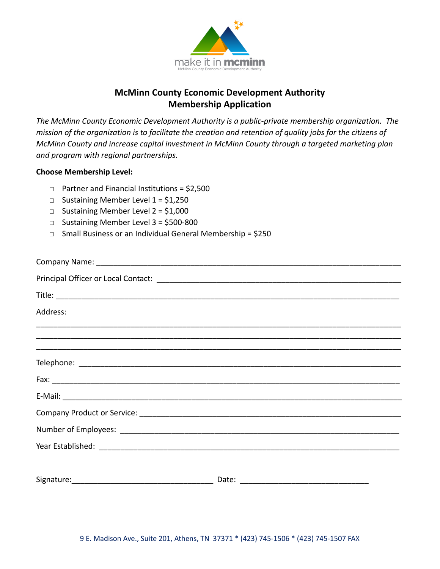

*The McMinn County Economic Development Authority is a public-private membership organization. The mission of the organization is to facilitate the creation and retention of quality jobs for the citizens of McMinn County and increase capital investment in McMinn County through a targeted marketing plan and program with regional partnerships.*

#### **Choose Membership Level:**

- □ Partner and Financial Institutions = \$2,500
- $\Box$  Sustaining Member Level 1 = \$1,250
- $\Box$  Sustaining Member Level 2 = \$1,000
- □ Sustaining Member Level 3 = \$500-800
- □ Small Business or an Individual General Membership = \$250

| Address: |  |
|----------|--|
|          |  |
|          |  |
|          |  |
|          |  |
|          |  |
|          |  |
|          |  |
|          |  |
|          |  |
|          |  |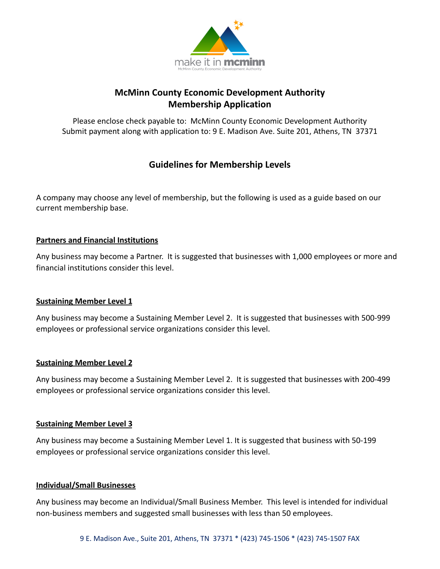

Please enclose check payable to: McMinn County Economic Development Authority Submit payment along with application to: 9 E. Madison Ave. Suite 201, Athens, TN 37371

# **Guidelines for Membership Levels**

A company may choose any level of membership, but the following is used as a guide based on our current membership base.

### **Partners and Financial Institutions**

Any business may become a Partner. It is suggested that businesses with 1,000 employees or more and financial institutions consider this level.

### **Sustaining Member Level 1**

Any business may become a Sustaining Member Level 2. It is suggested that businesses with 500-999 employees or professional service organizations consider this level.

### **Sustaining Member Level 2**

Any business may become a Sustaining Member Level 2. It is suggested that businesses with 200-499 employees or professional service organizations consider this level.

#### **Sustaining Member Level 3**

Any business may become a Sustaining Member Level 1. It is suggested that business with 50-199 employees or professional service organizations consider this level.

#### **Individual/Small Businesses**

Any business may become an Individual/Small Business Member. This level is intended for individual non-business members and suggested small businesses with less than 50 employees.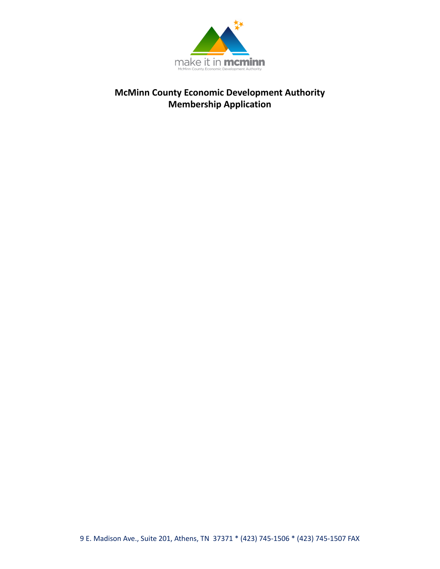